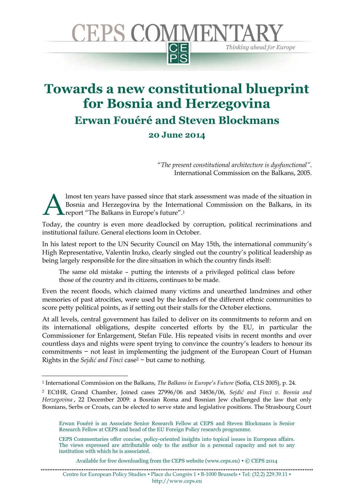

## **Towards a new constitutional blueprint for Bosnia and Herzegovina Erwan Fouéré and Steven Blockmans 20 June 2014**

"*The present constitutional architecture is dysfunctional"*. International Commission on the Balkans, 2005.

lmost ten years have passed since that stark assessment was made of the situation in Bosnia and Herzegovina by the International Commission on the Balkans, in its report "The Balkans in Europe's future". 1 A

Today, the country is even more deadlocked by corruption, political recriminations and institutional failure. General elections loom in October.

In his latest report to the UN Security Council on May 15th, the international community's High Representative, Valentin Inzko, clearly singled out the country's political leadership as being largely responsible for the dire situation in which the country finds itself:

The same old mistake – putting the interests of a privileged political class before those of the country and its citizens, continues to be made.

Even the recent floods, which claimed many victims and unearthed landmines and other memories of past atrocities, were used by the leaders of the different ethnic communities to score petty political points, as if setting out their stalls for the October elections.

At all levels, central government has failed to deliver on its commitments to reform and on its international obligations, despite concerted efforts by the EU, in particular the Commissioner for Enlargement, Stefan Füle. His repeated visits in recent months and over countless days and nights were spent trying to convince the country's leaders to honour its commitments − not least in implementing the judgment of the European Court of Human Rights in the *Sejdić and Finci* case<sup>2</sup> − but came to nothing.

1

<sup>1</sup> International Commission on the Balkans, *The Balkans in Europe's Future* (Sofia, CLS 2005), p. 24.

<sup>2</sup> ECtHR, Grand Chamber, Joined cases 27996/06 and 34836/06, *Sejdić and Finci v. Bosnia and Herzegovina* , 22 December 2009: a Bosnian Roma and Bosnian Jew challenged the law that only Bosnians, Serbs or Croats, can be elected to serve state and legislative positions. The Strasbourg Court

Erwan Fouéré is an Associate Senior Research Fellow at CEPS and Steven Blockmans is Senior Research Fellow at CEPS and head of the EU Foreign Policy research programme.

CEPS Commentaries offer concise, policy-oriented insights into topical issues in European affairs. The views expressed are attributable only to the author in a personal capacity and not to any institution with which he is associated.

Available for free downloading from the CEPS website (www.ceps.eu) • © CEPS 2014

Centre for European Policy Studies ▪ Place du Congrès 1 ▪ B-1000 Brussels ▪ Tel: (32.2) 229.39.11 ▪ http://www.ceps.eu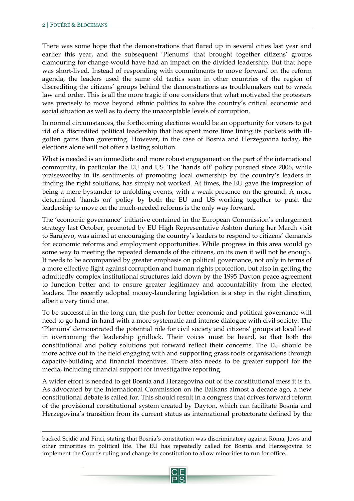$\ddot{\phantom{a}}$ 

There was some hope that the demonstrations that flared up in several cities last year and earlier this year, and the subsequent 'Plenums' that brought together citizens' groups clamouring for change would have had an impact on the divided leadership. But that hope was short-lived. Instead of responding with commitments to move forward on the reform agenda, the leaders used the same old tactics seen in other countries of the region of discrediting the citizens' groups behind the demonstrations as troublemakers out to wreck law and order. This is all the more tragic if one considers that what motivated the protesters was precisely to move beyond ethnic politics to solve the country's critical economic and social situation as well as to decry the unacceptable levels of corruption.

In normal circumstances, the forthcoming elections would be an opportunity for voters to get rid of a discredited political leadership that has spent more time lining its pockets with illgotten gains than governing. However, in the case of Bosnia and Herzegovina today, the elections alone will not offer a lasting solution.

What is needed is an immediate and more robust engagement on the part of the international community, in particular the EU and US. The 'hands off' policy pursued since 2006, while praiseworthy in its sentiments of promoting local ownership by the country's leaders in finding the right solutions, has simply not worked. At times, the EU gave the impression of being a mere bystander to unfolding events, with a weak presence on the ground. A more determined 'hands on' policy by both the EU and US working together to push the leadership to move on the much-needed reforms is the only way forward.

The 'economic governance' initiative contained in the European Commission's enlargement strategy last October, promoted by EU High Representative Ashton during her March visit to Sarajevo, was aimed at encouraging the country's leaders to respond to citizens' demands for economic reforms and employment opportunities. While progress in this area would go some way to meeting the repeated demands of the citizens, on its own it will not be enough. It needs to be accompanied by greater emphasis on political governance, not only in terms of a more effective fight against corruption and human rights protection, but also in getting the admittedly complex institutional structures laid down by the 1995 Dayton peace agreement to function better and to ensure greater legitimacy and accountability from the elected leaders. The recently adopted money-laundering legislation is a step in the right direction, albeit a very timid one.

To be successful in the long run, the push for better economic and political governance will need to go hand-in-hand with a more systematic and intense dialogue with civil society. The 'Plenums' demonstrated the potential role for civil society and citizens' groups at local level in overcoming the leadership gridlock. Their voices must be heard, so that both the constitutional and policy solutions put forward reflect their concerns. The EU should be more active out in the field engaging with and supporting grass roots organisations through capacity-building and financial incentives. There also needs to be greater support for the media, including financial support for investigative reporting.

A wider effort is needed to get Bosnia and Herzegovina out of the constitutional mess it is in. As advocated by the International Commission on the Balkans almost a decade ago, a new constitutional debate is called for. This should result in a congress that drives forward reform of the provisional constitutional system created by Dayton, which can facilitate Bosnia and Herzegovina's transition from its current status as international protectorate defined by the

backed Sejdić and Finci, stating that Bosnia's constitution was discriminatory against Roma, Jews and other minorities in political life. The EU has repeatedly called for Bosnia and Herzegovina to implement the Court's ruling and change its constitution to allow minorities to run for office.